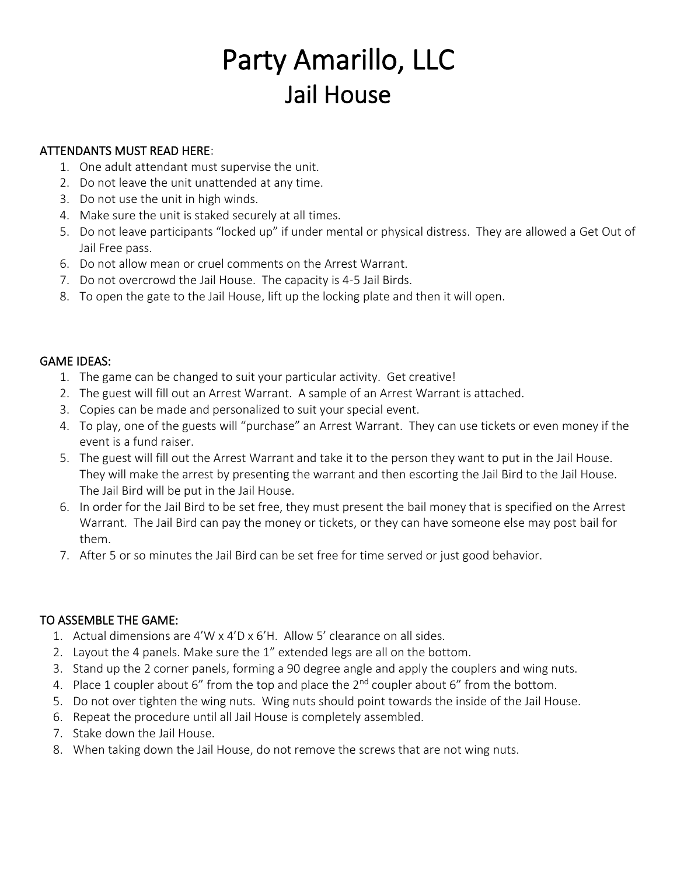## Party Amarillo, LLC Jail House

#### ATTENDANTS MUST READ HERE:

- 1. One adult attendant must supervise the unit.
- 2. Do not leave the unit unattended at any time.
- 3. Do not use the unit in high winds.
- 4. Make sure the unit is staked securely at all times.
- 5. Do not leave participants "locked up" if under mental or physical distress. They are allowed a Get Out of Jail Free pass.
- 6. Do not allow mean or cruel comments on the Arrest Warrant.
- 7. Do not overcrowd the Jail House. The capacity is 4-5 Jail Birds.
- 8. To open the gate to the Jail House, lift up the locking plate and then it will open.

#### GAME IDEAS:

- 1. The game can be changed to suit your particular activity. Get creative!
- 2. The guest will fill out an Arrest Warrant. A sample of an Arrest Warrant is attached.
- 3. Copies can be made and personalized to suit your special event.
- 4. To play, one of the guests will "purchase" an Arrest Warrant. They can use tickets or even money if the event is a fund raiser.
- 5. The guest will fill out the Arrest Warrant and take it to the person they want to put in the Jail House. They will make the arrest by presenting the warrant and then escorting the Jail Bird to the Jail House. The Jail Bird will be put in the Jail House.
- 6. In order for the Jail Bird to be set free, they must present the bail money that is specified on the Arrest Warrant. The Jail Bird can pay the money or tickets, or they can have someone else may post bail for them.
- 7. After 5 or so minutes the Jail Bird can be set free for time served or just good behavior.

#### TO ASSEMBLE THE GAME:

- 1. Actual dimensions are 4'W x 4'D x 6'H. Allow 5' clearance on all sides.
- 2. Layout the 4 panels. Make sure the 1" extended legs are all on the bottom.
- 3. Stand up the 2 corner panels, forming a 90 degree angle and apply the couplers and wing nuts.
- 4. Place 1 coupler about 6" from the top and place the  $2^{nd}$  coupler about 6" from the bottom.
- 5. Do not over tighten the wing nuts. Wing nuts should point towards the inside of the Jail House.
- 6. Repeat the procedure until all Jail House is completely assembled.
- 7. Stake down the Jail House.
- 8. When taking down the Jail House, do not remove the screws that are not wing nuts.